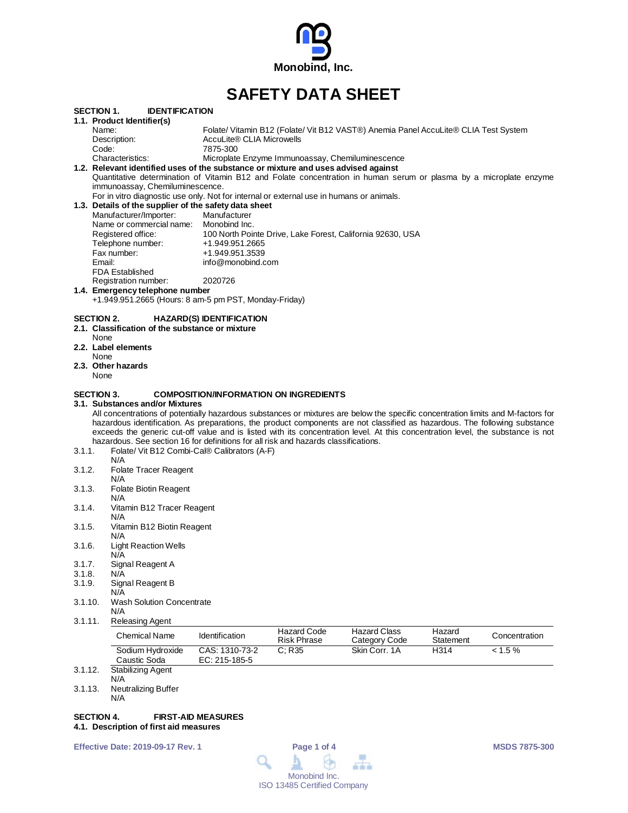

# **SAFETY DATA SHEET**

| SECTION 1.                  | <b>IDENTIFICATION</b>                                                                                                                                                                                                                                                                                                                                                                                                                                                                                                                                                       |                                               |                                                  |                                                                                     |                     |               |
|-----------------------------|-----------------------------------------------------------------------------------------------------------------------------------------------------------------------------------------------------------------------------------------------------------------------------------------------------------------------------------------------------------------------------------------------------------------------------------------------------------------------------------------------------------------------------------------------------------------------------|-----------------------------------------------|--------------------------------------------------|-------------------------------------------------------------------------------------|---------------------|---------------|
|                             | 1.1. Product Identifier(s)                                                                                                                                                                                                                                                                                                                                                                                                                                                                                                                                                  |                                               |                                                  |                                                                                     |                     |               |
|                             | Name:                                                                                                                                                                                                                                                                                                                                                                                                                                                                                                                                                                       |                                               |                                                  | Folate/ Vitamin B12 (Folate/ Vit B12 VAST®) Anemia Panel AccuLite® CLIA Test System |                     |               |
|                             | Description:                                                                                                                                                                                                                                                                                                                                                                                                                                                                                                                                                                | AccuLite® CLIA Microwells                     |                                                  |                                                                                     |                     |               |
| Code:                       |                                                                                                                                                                                                                                                                                                                                                                                                                                                                                                                                                                             | 7875-300                                      |                                                  |                                                                                     |                     |               |
|                             | Characteristics:                                                                                                                                                                                                                                                                                                                                                                                                                                                                                                                                                            |                                               | Microplate Enzyme Immunoassay, Chemiluminescence |                                                                                     |                     |               |
|                             | 1.2. Relevant identified uses of the substance or mixture and uses advised against                                                                                                                                                                                                                                                                                                                                                                                                                                                                                          |                                               |                                                  |                                                                                     |                     |               |
|                             | Quantitative determination of Vitamin B12 and Folate concentration in human serum or plasma by a microplate enzyme<br>immunoassay, Chemiluminescence.                                                                                                                                                                                                                                                                                                                                                                                                                       |                                               |                                                  |                                                                                     |                     |               |
|                             | For in vitro diagnostic use only. Not for internal or external use in humans or animals.                                                                                                                                                                                                                                                                                                                                                                                                                                                                                    |                                               |                                                  |                                                                                     |                     |               |
|                             | 1.3. Details of the supplier of the safety data sheet                                                                                                                                                                                                                                                                                                                                                                                                                                                                                                                       |                                               |                                                  |                                                                                     |                     |               |
|                             | Manufacturer/Importer:                                                                                                                                                                                                                                                                                                                                                                                                                                                                                                                                                      | Manufacturer                                  |                                                  |                                                                                     |                     |               |
|                             | Name or commercial name: Monobind Inc.                                                                                                                                                                                                                                                                                                                                                                                                                                                                                                                                      |                                               |                                                  |                                                                                     |                     |               |
|                             | Registered office:                                                                                                                                                                                                                                                                                                                                                                                                                                                                                                                                                          |                                               |                                                  | 100 North Pointe Drive, Lake Forest, California 92630, USA                          |                     |               |
|                             | Telephone number:                                                                                                                                                                                                                                                                                                                                                                                                                                                                                                                                                           | +1.949.951.2665                               |                                                  |                                                                                     |                     |               |
|                             | Fax number:                                                                                                                                                                                                                                                                                                                                                                                                                                                                                                                                                                 | +1.949.951.3539                               |                                                  |                                                                                     |                     |               |
| Email:                      |                                                                                                                                                                                                                                                                                                                                                                                                                                                                                                                                                                             | info@monobind.com                             |                                                  |                                                                                     |                     |               |
|                             | <b>FDA Established</b>                                                                                                                                                                                                                                                                                                                                                                                                                                                                                                                                                      |                                               |                                                  |                                                                                     |                     |               |
|                             | Registration number:                                                                                                                                                                                                                                                                                                                                                                                                                                                                                                                                                        | 2020726                                       |                                                  |                                                                                     |                     |               |
|                             | 1.4. Emergency telephone number                                                                                                                                                                                                                                                                                                                                                                                                                                                                                                                                             |                                               |                                                  |                                                                                     |                     |               |
|                             | +1.949.951.2665 (Hours: 8 am-5 pm PST, Monday-Friday)                                                                                                                                                                                                                                                                                                                                                                                                                                                                                                                       |                                               |                                                  |                                                                                     |                     |               |
| <b>SECTION 2.</b>           |                                                                                                                                                                                                                                                                                                                                                                                                                                                                                                                                                                             | <b>HAZARD(S) IDENTIFICATION</b>               |                                                  |                                                                                     |                     |               |
| None                        | 2.1. Classification of the substance or mixture                                                                                                                                                                                                                                                                                                                                                                                                                                                                                                                             |                                               |                                                  |                                                                                     |                     |               |
|                             | 2.2. Label elements                                                                                                                                                                                                                                                                                                                                                                                                                                                                                                                                                         |                                               |                                                  |                                                                                     |                     |               |
| None                        |                                                                                                                                                                                                                                                                                                                                                                                                                                                                                                                                                                             |                                               |                                                  |                                                                                     |                     |               |
| None                        | 2.3. Other hazards                                                                                                                                                                                                                                                                                                                                                                                                                                                                                                                                                          |                                               |                                                  |                                                                                     |                     |               |
| <b>SECTION 3.</b><br>3.1.1. | 3.1. Substances and/or Mixtures<br>All concentrations of potentially hazardous substances or mixtures are below the specific concentration limits and M-factors for<br>hazardous identification. As preparations, the product components are not classified as hazardous. The following substance<br>exceeds the generic cut-off value and is listed with its concentration level. At this concentration level, the substance is not<br>hazardous. See section 16 for definitions for all risk and hazards classifications.<br>Folate/ Vit B12 Combi-Cal® Calibrators (A-F) | <b>COMPOSITION/INFORMATION ON INGREDIENTS</b> |                                                  |                                                                                     |                     |               |
| 3.1.2.                      | N/A<br><b>Folate Tracer Reagent</b>                                                                                                                                                                                                                                                                                                                                                                                                                                                                                                                                         |                                               |                                                  |                                                                                     |                     |               |
| 3.1.3.                      | N/A<br><b>Folate Biotin Reagent</b>                                                                                                                                                                                                                                                                                                                                                                                                                                                                                                                                         |                                               |                                                  |                                                                                     |                     |               |
|                             | N/A                                                                                                                                                                                                                                                                                                                                                                                                                                                                                                                                                                         |                                               |                                                  |                                                                                     |                     |               |
| 3.1.4.                      | Vitamin B12 Tracer Reagent                                                                                                                                                                                                                                                                                                                                                                                                                                                                                                                                                  |                                               |                                                  |                                                                                     |                     |               |
| 3.1.5.                      | N/A<br>Vitamin B12 Biotin Reagent                                                                                                                                                                                                                                                                                                                                                                                                                                                                                                                                           |                                               |                                                  |                                                                                     |                     |               |
|                             | N/A                                                                                                                                                                                                                                                                                                                                                                                                                                                                                                                                                                         |                                               |                                                  |                                                                                     |                     |               |
| 3.1.6.                      | <b>Light Reaction Wells</b><br>N/A                                                                                                                                                                                                                                                                                                                                                                                                                                                                                                                                          |                                               |                                                  |                                                                                     |                     |               |
| 3.1.7.                      | Signal Reagent A                                                                                                                                                                                                                                                                                                                                                                                                                                                                                                                                                            |                                               |                                                  |                                                                                     |                     |               |
| 3.1.8.                      | N/A                                                                                                                                                                                                                                                                                                                                                                                                                                                                                                                                                                         |                                               |                                                  |                                                                                     |                     |               |
| 3.1.9.                      | Signal Reagent B<br>N/A                                                                                                                                                                                                                                                                                                                                                                                                                                                                                                                                                     |                                               |                                                  |                                                                                     |                     |               |
| 3.1.10.                     | <b>Wash Solution Concentrate</b>                                                                                                                                                                                                                                                                                                                                                                                                                                                                                                                                            |                                               |                                                  |                                                                                     |                     |               |
|                             | N/A                                                                                                                                                                                                                                                                                                                                                                                                                                                                                                                                                                         |                                               |                                                  |                                                                                     |                     |               |
| 3.1.11.                     | <b>Releasing Agent</b>                                                                                                                                                                                                                                                                                                                                                                                                                                                                                                                                                      |                                               |                                                  |                                                                                     |                     |               |
|                             | <b>Chemical Name</b>                                                                                                                                                                                                                                                                                                                                                                                                                                                                                                                                                        | Identification                                | <b>Hazard Code</b><br><b>Risk Phrase</b>         | <b>Hazard Class</b><br>Category Code                                                | Hazard<br>Statement | Concentration |
|                             | Sodium Hydroxide<br>Caustic Soda                                                                                                                                                                                                                                                                                                                                                                                                                                                                                                                                            | CAS: 1310-73-2<br>EC: 215-185-5               | C; R35                                           | Skin Corr. 1A                                                                       | H314                | $< 1.5\%$     |
| 2412                        | $Chabili = ina$ Agont                                                                                                                                                                                                                                                                                                                                                                                                                                                                                                                                                       |                                               |                                                  |                                                                                     |                     |               |

- 3.1.12. Stabilizing Agent N/A
- 3.1.13. Neutralizing Buffer
	- N/A

### **SECTION 4. FIRST-AID MEASURES**

**4.1. Description of first aid measures**

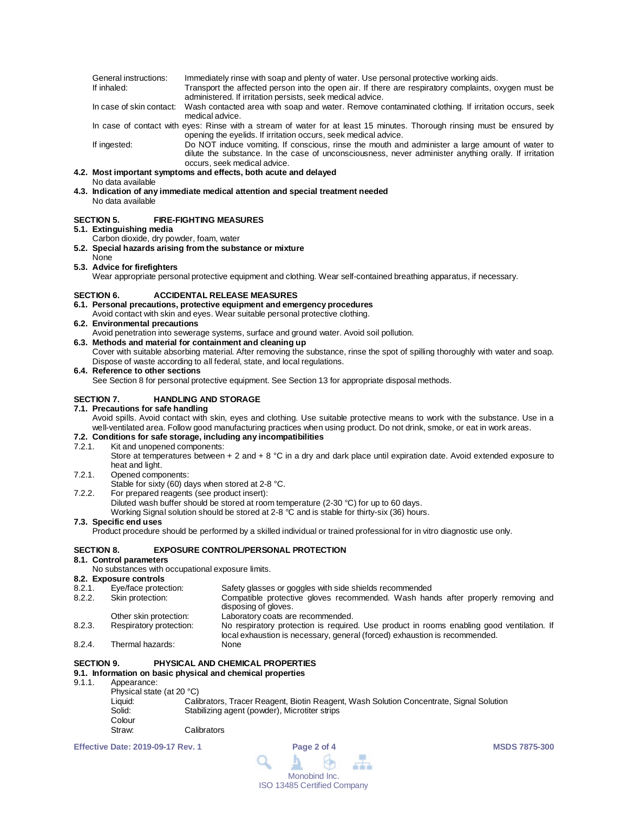| General instructions: | Immediately rinse with soap and plenty of water. Use personal protective working aids.               |
|-----------------------|------------------------------------------------------------------------------------------------------|
| If inhaled:           | Transport the affected person into the open air. If there are respiratory complaints, oxygen must be |
|                       | administered. If irritation persists, seek medical advice.                                           |

In case of skin contact: Wash contacted area with soap and water. Remove contaminated clothing. If irritation occurs, seek medical advice.

In case of contact with eyes: Rinse with a stream of water for at least 15 minutes. Thorough rinsing must be ensured by opening the eyelids. If irritation occurs, seek medical advice.

If ingested: Do NOT induce vomiting. If conscious, rinse the mouth and administer a large amount of water to dilute the substance. In the case of unconsciousness, never administer anything orally. If irritation occurs, seek medical advice.

#### **4.2. Most important symptoms and effects, both acute and delayed**

#### No data available

**4.3. Indication of any immediate medical attention and special treatment needed** No data available

#### **SECTION 5. FIRE-FIGHTING MEASURES**

#### **5.1. Extinguishing media**

Carbon dioxide, dry powder, foam, water

**5.2. Special hazards arising from the substance or mixture**

## None

**5.3. Advice for firefighters**

Wear appropriate personal protective equipment and clothing. Wear self-contained breathing apparatus, if necessary.

#### **SECTION 6. ACCIDENTAL RELEASE MEASURES**

- **6.1. Personal precautions, protective equipment and emergency procedures**
- Avoid contact with skin and eyes. Wear suitable personal protective clothing.
- **6.2. Environmental precautions**
	- Avoid penetration into sewerage systems, surface and ground water. Avoid soil pollution.
- **6.3. Methods and material for containment and cleaning up** Cover with suitable absorbing material. After removing the substance, rinse the spot of spilling thoroughly with water and soap.

Dispose of waste according to all federal, state, and local regulations.

#### **6.4. Reference to other sections**

See Section 8 for personal protective equipment. See Section 13 for appropriate disposal methods.

#### **SECTION 7. HANDLING AND STORAGE**

#### **7.1. Precautions for safe handling**

Avoid spills. Avoid contact with skin, eyes and clothing. Use suitable protective means to work with the substance. Use in a well-ventilated area. Follow good manufacturing practices when using product. Do not drink, smoke, or eat in work areas.

#### **7.2. Conditions for safe storage, including any incompatibilities**

7.2.1. Kit and unopened components:

Store at temperatures between + 2 and + 8 °C in a dry and dark place until expiration date. Avoid extended exposure to heat and light.

#### 7.2.1. Opened components:

- Stable for sixty (60) days when stored at 2-8 °C.
- 7.2.2. For prepared reagents (see product insert):
	- Diluted wash buffer should be stored at room temperature (2-30 °C) for up to 60 days.

Working Signal solution should be stored at 2-8 °C and is stable for thirty-six (36) hours.

#### **7.3. Specific end uses**

Product procedure should be performed by a skilled individual or trained professional for in vitro diagnostic use only.

#### **SECTION 8. EXPOSURE CONTROL/PERSONAL PROTECTION**

#### **8.1. Control parameters**

No substances with occupational exposure limits.

- **8.2. Exposure controls** 8.2.1. Eye/face protection: Safety glasses or goggles with side shields recommended<br>8.2.2. Skin protection: Compatible protective gloves recommended. Wash han Compatible protective gloves recommended. Wash hands after properly removing and disposing of gloves. Other skin protection: Laboratory coats are recommended.<br>
Respiratory protection: No respiratory protection is required 8.2.3. Respiratory protection: No respiratory protection is required. Use product in rooms enabling good ventilation. If
- local exhaustion is necessary, general (forced) exhaustion is recommended.
- 8.2.4. Thermal hazards:

#### **SECTION 9. PHYSICAL AND CHEMICAL PROPERTIES**

- **9.1. Information on basic physical and chemical properties**
- Appearance:
	- Physical state (at 20 °C)<br>Liquid: Cali Liquid: Calibrators, Tracer Reagent, Biotin Reagent, Wash Solution Concentrate, Signal Solution<br>
	Stabilizing agent (powder), Microtiter strips Stabilizing agent (powder), Microtiter strips Colour<br>Straw: Calibrators

**Effective Date: 2019-09-17 Rev. 1 Page 2 of 4 MSDS 7875-300**

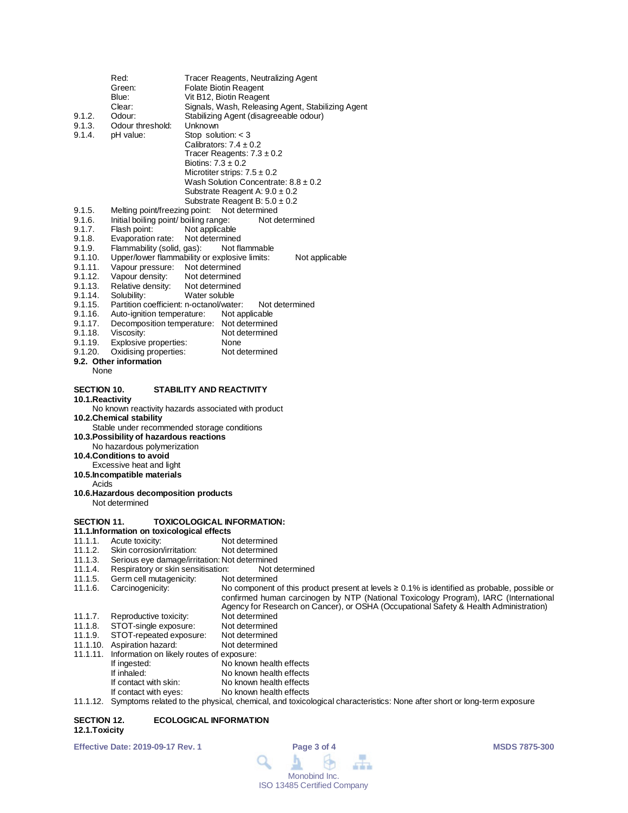|                                 | Red:                                                                 | Tracer Reagents, Neutralizing Agent                                                                                                                                                        |
|---------------------------------|----------------------------------------------------------------------|--------------------------------------------------------------------------------------------------------------------------------------------------------------------------------------------|
|                                 | Green:                                                               | Folate Biotin Reagent                                                                                                                                                                      |
|                                 | Blue:                                                                | Vit B12, Biotin Reagent                                                                                                                                                                    |
|                                 | Clear:                                                               | Signals, Wash, Releasing Agent, Stabilizing Agent                                                                                                                                          |
| 9.1.2.                          | Odour:                                                               | Stabilizing Agent (disagreeable odour)                                                                                                                                                     |
| 9.1.3.                          | Odour threshold:                                                     | Unknown                                                                                                                                                                                    |
| 9.1.4.                          | pH value:                                                            | Stop solution: $<$ 3<br>Calibrators: $7.4 \pm 0.2$                                                                                                                                         |
|                                 |                                                                      | Tracer Reagents: $7.3 \pm 0.2$                                                                                                                                                             |
|                                 |                                                                      | Biotins: $7.3 \pm 0.2$                                                                                                                                                                     |
|                                 |                                                                      | Microtiter strips: $7.5 \pm 0.2$                                                                                                                                                           |
|                                 |                                                                      | Wash Solution Concentrate: $8.8 \pm 0.2$                                                                                                                                                   |
|                                 |                                                                      | Substrate Reagent A: $9.0 \pm 0.2$                                                                                                                                                         |
|                                 |                                                                      | Substrate Reagent B: $5.0 \pm 0.2$                                                                                                                                                         |
| 9.1.5.                          | Melting point/freezing point:                                        | Not determined                                                                                                                                                                             |
| 9.1.6.                          | Initial boiling point/ boiling range:                                | Not determined                                                                                                                                                                             |
| 9.1.7.                          | Flash point:                                                         | Not applicable                                                                                                                                                                             |
| 9.1.8.                          | Evaporation rate:                                                    | Not determined                                                                                                                                                                             |
| 9.1.9.                          | Flammability (solid, gas):                                           | Not flammable                                                                                                                                                                              |
| 9.1.10.                         | Vapour pressure: Not determined                                      | Upper/lower flammability or explosive limits:<br>Not applicable                                                                                                                            |
| 9.1.11.<br>9.1.12.              | Vapour density:                                                      | Not determined                                                                                                                                                                             |
| 9.1.13.                         | Relative density:                                                    | Not determined                                                                                                                                                                             |
| 9.1.14.                         | Solubility:                                                          | Water soluble                                                                                                                                                                              |
| 9.1.15.                         | Partition coefficient: n-octanol/water:                              | Not determined                                                                                                                                                                             |
| 9.1.16.                         | Auto-ignition temperature:                                           | Not applicable                                                                                                                                                                             |
| 9.1.17.                         |                                                                      | Decomposition temperature: Not determined                                                                                                                                                  |
| 9.1.18.                         | Viscosity:                                                           | Not determined                                                                                                                                                                             |
| 9.1.19.                         | Explosive properties:                                                | None                                                                                                                                                                                       |
| 9.1.20.                         | Oxidising properties:<br>9.2. Other information                      | Not determined                                                                                                                                                                             |
| <b>None</b>                     |                                                                      |                                                                                                                                                                                            |
|                                 |                                                                      |                                                                                                                                                                                            |
| SECTION 10.<br>10.1. Reactivity |                                                                      | STABILITY AND REACTIVITY<br>No known reactivity hazards associated with product                                                                                                            |
|                                 | 10.2. Chemical stability<br>10.3. Possibility of hazardous reactions | Stable under recommended storage conditions                                                                                                                                                |
|                                 | No hazardous polymerization                                          |                                                                                                                                                                                            |
|                                 | 10.4. Conditions to avoid                                            |                                                                                                                                                                                            |
|                                 | Excessive heat and light                                             |                                                                                                                                                                                            |
|                                 | 10.5. Incompatible materials                                         |                                                                                                                                                                                            |
| Acids                           | 10.6. Hazardous decomposition products                               |                                                                                                                                                                                            |
|                                 | Not determined                                                       |                                                                                                                                                                                            |
|                                 |                                                                      |                                                                                                                                                                                            |
| <b>SECTION 11.</b>              |                                                                      | TOXICOLOGICAL INFORMATION:                                                                                                                                                                 |
|                                 | 11.1. Information on toxicological effects                           |                                                                                                                                                                                            |
| 11.1.1.                         | Acute toxicity:                                                      | Not determined                                                                                                                                                                             |
| 11.1.2.                         | Skin corrosion/irritation:                                           | Not determined                                                                                                                                                                             |
| 11.1.3.                         |                                                                      | Serious eye damage/irritation: Not determined                                                                                                                                              |
| 11.1.4.                         | Respiratory or skin sensitisation:                                   | Not determined                                                                                                                                                                             |
| 11.1.5.<br>11.1.6.              | Germ cell mutagenicity:<br>Carcinogenicity:                          | Not determined                                                                                                                                                                             |
|                                 |                                                                      | No component of this product present at levels $\geq 0.1\%$ is identified as probable, possible or<br>confirmed human carcinogen by NTP (National Toxicology Program), IARC (International |
|                                 |                                                                      | Agency for Research on Cancer), or OSHA (Occupational Safety & Health Administration)                                                                                                      |
| 11.1.7.                         |                                                                      |                                                                                                                                                                                            |
| 11.1.8.                         |                                                                      |                                                                                                                                                                                            |
|                                 | Reproductive toxicity:                                               | Not determined<br>Not determined                                                                                                                                                           |
| 11.1.9.                         | STOT-single exposure:<br>STOT-repeated exposure:                     | Not determined                                                                                                                                                                             |
| 11.1.10.                        | Aspiration hazard:                                                   | Not determined                                                                                                                                                                             |
| 11.1.11.                        | Information on likely routes of exposure:                            |                                                                                                                                                                                            |
|                                 | If ingested:                                                         | No known health effects                                                                                                                                                                    |
|                                 | If inhaled:                                                          | No known health effects                                                                                                                                                                    |
|                                 | If contact with skin:<br>If contact with eyes:                       | No known health effects<br>No known health effects                                                                                                                                         |

11.1.12. Symptoms related to the physical, chemical, and toxicological characteristics: None after short or long-term exposure

#### **SECTION 12. ECOLOGICAL INFORMATION 12.1.Toxicity**